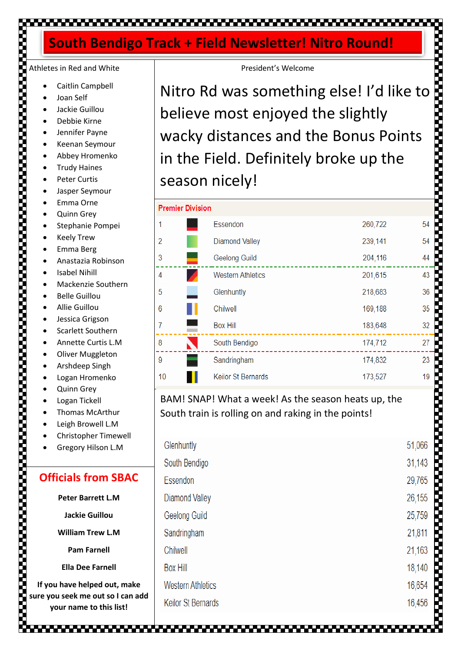# ▚▞▃▘▖▘▃▘▃▘▃▝▃▝▃▝▃▝▃▝▃▝▃▝▃▞▃▝▃

# **South Bendigo Track + Field Newsletter! Nitro Round!**

# Athletes in Red and White

- Caitlin Campbell
- Joan Self
- Jackie Guillou
- Debbie Kirne
- Jennifer Payne
- Keenan Seymour
- Abbey Hromenko
- Trudy Haines
- Peter Curtis
- Jasper Seymour
- Emma Orne
- Quinn Grey
- Stephanie Pompei
- **Keely Trew**
- Emma Berg
- Anastazia Robinson
- **Isabel Nihill**
- Mackenzie Southern
- Belle Guillou
- Allie Guillou
- Jessica Grigson
- Scarlett Southern
- Annette Curtis L.M
- Oliver Muggleton
- Arshdeep Singh
- Logan Hromenko
- Quinn Grey
- Logan Tickell
- Thomas McArthur
- Leigh Browell L.M
- Christopher Timewell
- Gregory Hilson L.M

### **Officials from SBAC**

**Peter Barrett L.M**

**Jackie Guillou** 

**William Trew L.M**

**Pam Farnell**

**Ella Dee Farnell**

**If you have helped out, make sure you seek me out so I can add your name to this list!**

President's Welcome

Nitro Rd was something else! I'd like to believe most enjoyed the slightly **Property of the company's company's company's company's company's company's company's company's company's compa** wacky distances and the Bonus Points in the Field. Definitely broke up the season nicely!

| <b>Premier Division</b> |                       |                           |         |    |  |
|-------------------------|-----------------------|---------------------------|---------|----|--|
| 1                       |                       | Essendon                  | 260,722 | 54 |  |
| $\overline{2}$          |                       | <b>Diamond Valley</b>     | 239,141 | 54 |  |
| 3                       | ▄                     | Geelong Guild             | 204,116 | 44 |  |
| 4                       |                       | <b>Western Athletics</b>  | 201,615 | 43 |  |
| 5                       |                       | Glenhuntly                | 218,683 | 36 |  |
| 6                       | ш                     | Chilwell                  | 169,188 | 35 |  |
| 7                       |                       | <b>Box Hill</b>           | 183,648 | 32 |  |
| 8                       | $\blacktriangleright$ | South Bendigo             | 174,712 | 27 |  |
| 9                       |                       | Sandringham               | 174,832 | 23 |  |
| 10                      |                       | <b>Keilor St Bernards</b> | 173,527 | 19 |  |

### BAM! SNAP! What a week! As the season heats up, the South train is rolling on and raking in the points!

| Glenhuntly                | 51,066 |
|---------------------------|--------|
| South Bendigo             | 31,143 |
| Essendon                  | 29,765 |
| <b>Diamond Valley</b>     | 26,155 |
| Geelong Guild             | 25,759 |
| Sandringham               | 21,811 |
| Chilwell                  | 21,163 |
| <b>Box Hill</b>           | 18,140 |
| <b>Western Athletics</b>  | 16,654 |
| <b>Keilor St Bernards</b> |        |
|                           |        |

1999 - 1999 - 1999 - 1999 - 1999 - 1999 - 1999 - 1999 - 1999 - 1999 - 1999 - 1999 - 1999 - 1999 - 1999 - 1999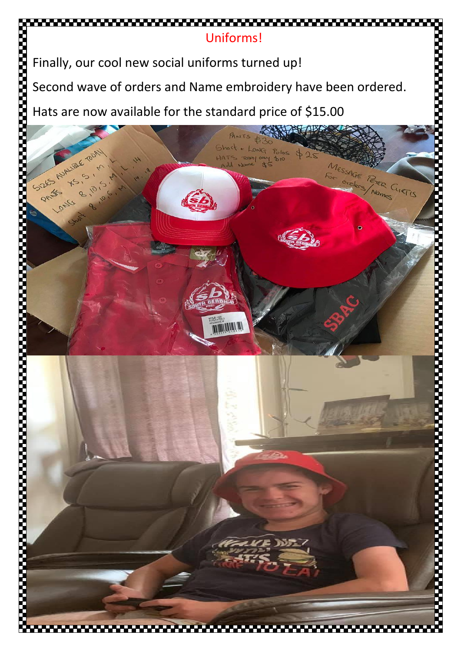

Finally, our cool new social uniforms turned up!

Second wave of orders and Name embroidery have been ordered.

Hats are now available for the standard price of \$15.00

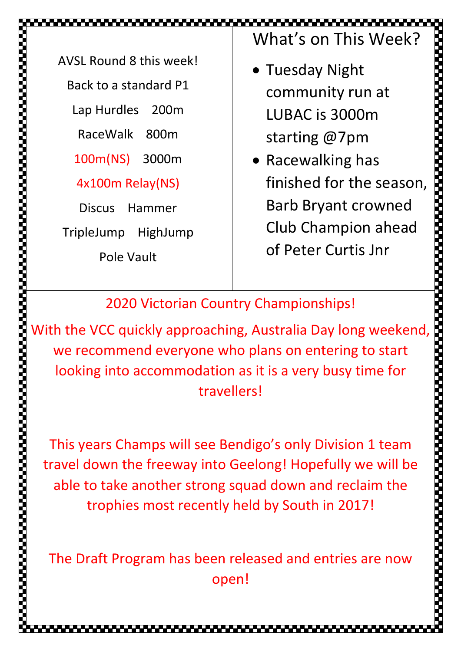AVSL Round 8 this week! Back to a standard P1 Lap Hurdles 200m RaceWalk 800m 100m(NS) 3000m 4x100m Relay(NS) Discus Hammer

TripleJump HighJump

Pole Vault

What's on This Week?

- Tuesday Night community run at LUBAC is 3000m starting @7pm
- Racewalking has finished for the season, Barb Bryant crowned Club Champion ahead of Peter Curtis Jnr

2020 Victorian Country Championships!

Wisch contained a this week:<br>
Back o standare 21<br>
Lap Hurdles 200m<br>
RaceWalk 800m<br>
100m(NS) 3000m<br>
100m(NS) 3000m<br>
100m(NS) 3000m<br>
100m(NS) 3000m<br>
100m(NS) 3000m<br>
100m(NS) 3000m<br>
100m(NS) 3000m<br>
100m(NS) 3000m<br>
100m(NS) 30 we recommend everyone who plans on entering to start looking into accommodation as it is a very busy time for travellers!

This years Champs will see Bendigo's only Division 1 team travel down the freeway into Geelong! Hopefully we will be able to take another strong squad down and reclaim the trophies most recently held by South in 2017!

The Draft Program has been released and entries are now open!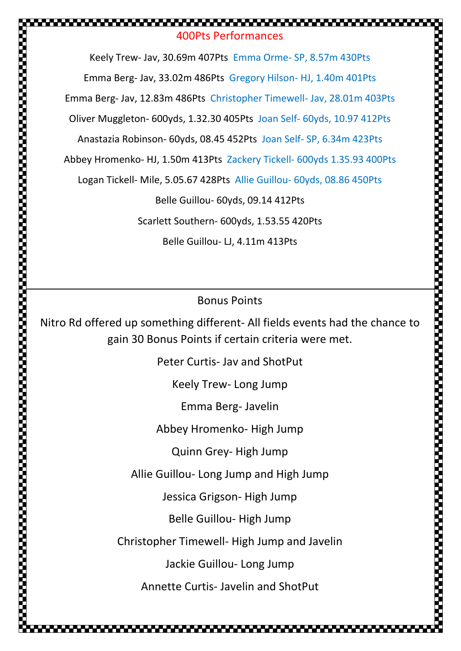# 400Pts Performances

Keely Trew- Jav, 30.69m 407Pts Emma Orme- SP, 8.57m 430Pts Emma Berg- Jav, 33.02m 486Pts Gregory Hilson- HJ, 1.40m 401Pts Emma Berg- Jav, 12.83m 486Pts Christopher Timewell- Jav, 28.01m 403Pts Oliver Muggleton- 600yds, 1.32.30 405Pts Joan Self- 60yds, 10.97 412Pts Anastazia Robinson- 60yds, 08.45 452Pts Joan Self- SP, 6.34m 423Pts

Abbey Hromenko- HJ, 1.50m 413Pts Zackery Tickell- 600yds 1.35.93 400Pts

Logan Tickell- Mile, 5.05.67 428Pts Allie Guillou- 60yds, 08.86 450Pts

Belle Guillou- 60yds, 09.14 412Pts

Scarlett Southern- 600yds, 1.53.55 420Pts

Belle Guillou- LJ, 4.11m 413Pts

Bonus Points

Nitro Rd offered up something different- All fields events had the chance to gain 30 Bonus Points if certain criteria were met.

Peter Curtis- Jav and ShotPut

Keely Trew- Long Jump

Emma Berg- Javelin

Abbey Hromenko- High Jump

Quinn Grey- High Jump

Allie Guillou- Long Jump and High Jump

Jessica Grigson- High Jump

Belle Guillou- High Jump

Christopher Timewell- High Jump and Javelin

Jackie Guillou- Long Jump

Annette Curtis- Javelin and ShotPut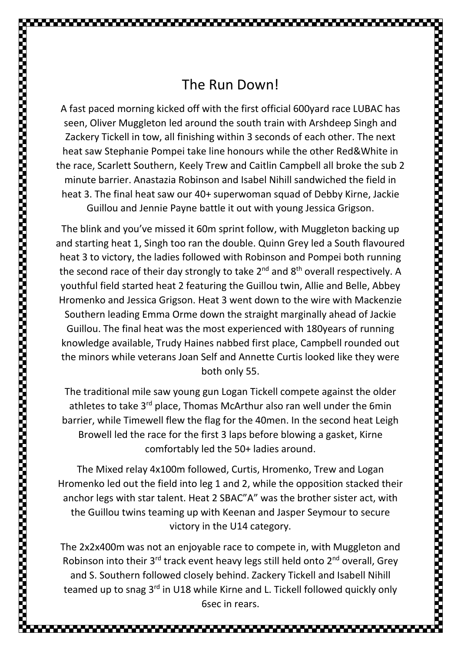A fast paced morning kicked off with the first official 600yard race LUBAC has seen, Oliver Muggleton led around the south train with Arshdeep Singh and Zackery Tickell in tow, all finishing within 3 seconds of each other. The next heat saw Stephanie Pompei take line honours while the other Red&White in the race, Scarlett Southern, Keely Trew and Caitlin Campbell all broke the sub 2 minute barrier. Anastazia Robinson and Isabel Nihill sandwiched the field in heat 3. The final heat saw our 40+ superwoman squad of Debby Kirne, Jackie Guillou and Jennie Payne battle it out with young Jessica Grigson.

The blink and you've missed it 60m sprint follow, with Muggleton backing up and starting heat 1, Singh too ran the double. Quinn Grey led a South flavoured heat 3 to victory, the ladies followed with Robinson and Pompei both running the second race of their day strongly to take  $2^{nd}$  and  $8^{th}$  overall respectively. A youthful field started heat 2 featuring the Guillou twin, Allie and Belle, Abbey Hromenko and Jessica Grigson. Heat 3 went down to the wire with Mackenzie Southern leading Emma Orme down the straight marginally ahead of Jackie Guillou. The final heat was the most experienced with 180years of running knowledge available, Trudy Haines nabbed first place, Campbell rounded out the minors while veterans Joan Self and Annette Curtis looked like they were both only 55.

The traditional mile saw young gun Logan Tickell compete against the older athletes to take 3<sup>rd</sup> place, Thomas McArthur also ran well under the 6min barrier, while Timewell flew the flag for the 40men. In the second heat Leigh Browell led the race for the first 3 laps before blowing a gasket, Kirne comfortably led the 50+ ladies around.

The Mixed relay 4x100m followed, Curtis, Hromenko, Trew and Logan Hromenko led out the field into leg 1 and 2, while the opposition stacked their anchor legs with star talent. Heat 2 SBAC"A" was the brother sister act, with the Guillou twins teaming up with Keenan and Jasper Seymour to secure victory in the U14 category.

The 2x2x400m was not an enjoyable race to compete in, with Muggleton and Robinson into their  $3^{rd}$  track event heavy legs still held onto  $2^{nd}$  overall, Grey and S. Southern followed closely behind. Zackery Tickell and Isabell Nihill teamed up to snag 3<sup>rd</sup> in U18 while Kirne and L. Tickell followed quickly only 6sec in rears.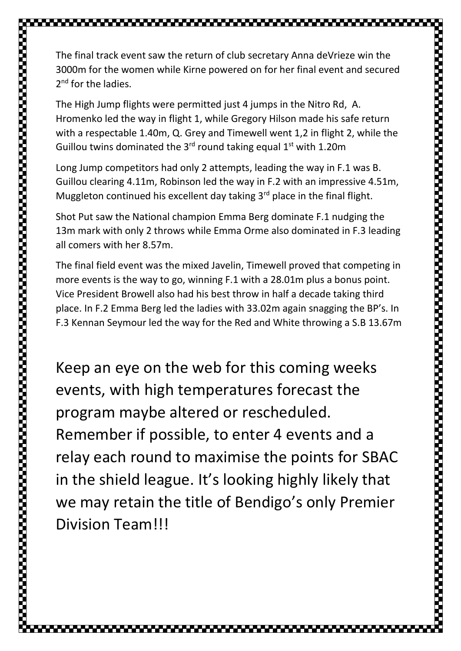The final track event saw the return of club secretary Anna deVrieze win the 3000m for the women while Kirne powered on for her final event and secured 2<sup>nd</sup> for the ladies. The High Jump flights were permitted just 4 jumps in the Nitro Rd, A. Hromenko led the way in flight 1, while Gregory Hilson made his safe return with a respectable 1.40m, Q. Grey and Timewell went 1,2 in flight 2, while the Guillou twins dominated the  $3<sup>rd</sup>$  round taking equal  $1<sup>st</sup>$  with 1.20m

Long Jump competitors had only 2 attempts, leading the way in F.1 was B. Guillou clearing 4.11m, Robinson led the way in F.2 with an impressive 4.51m, Muggleton continued his excellent day taking 3<sup>rd</sup> place in the final flight.

Shot Put saw the National champion Emma Berg dominate F.1 nudging the 13m mark with only 2 throws while Emma Orme also dominated in F.3 leading all comers with her 8.57m.

The final field event was the mixed Javelin, Timewell proved that competing in more events is the way to go, winning F.1 with a 28.01m plus a bonus point. Vice President Browell also had his best throw in half a decade taking third place. In F.2 Emma Berg led the ladies with 33.02m again snagging the BP's. In F.3 Kennan Seymour led the way for the Red and White throwing a S.B 13.67m

Keep an eye on the web for this coming weeks events, with high temperatures forecast the program maybe altered or rescheduled. Remember if possible, to enter 4 events and a relay each round to maximise the points for SBAC in the shield league. It's looking highly likely that we may retain the title of Bendigo's only Premier Division Team!!!